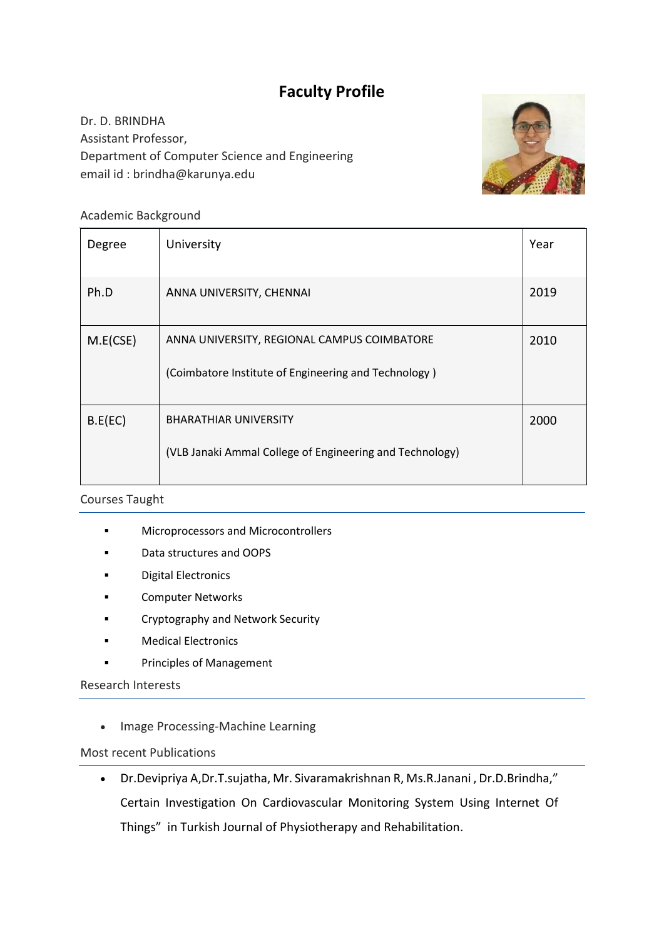# **Faculty Profile**

Dr. D. BRINDHA Assistant Professor, Department of Computer Science and Engineering email id : brindha@karunya.edu



## Academic Background

| Degree   | University                                                                                          | Year |
|----------|-----------------------------------------------------------------------------------------------------|------|
| Ph.D     | ANNA UNIVERSITY, CHENNAI                                                                            | 2019 |
| M.E(CSE) | ANNA UNIVERSITY, REGIONAL CAMPUS COIMBATORE<br>(Coimbatore Institute of Engineering and Technology) | 2010 |
| B.E(EC)  | <b>BHARATHIAR UNIVERSITY</b><br>(VLB Janaki Ammal College of Engineering and Technology)            | 2000 |

## Courses Taught

- **■** Microprocessors and Microcontrollers
- Data structures and OOPS
- Digital Electronics
- Computer Networks
- Cryptography and Network Security
- Medical Electronics
- Principles of Management

#### Research Interests

• Image Processing-Machine Learning

#### Most recent Publications

• Dr.Devipriya A,Dr.T.sujatha, Mr. Sivaramakrishnan R, Ms.R.Janani , Dr.D.Brindha," Certain Investigation On Cardiovascular Monitoring System Using Internet Of Things" in Turkish Journal of Physiotherapy and Rehabilitation.